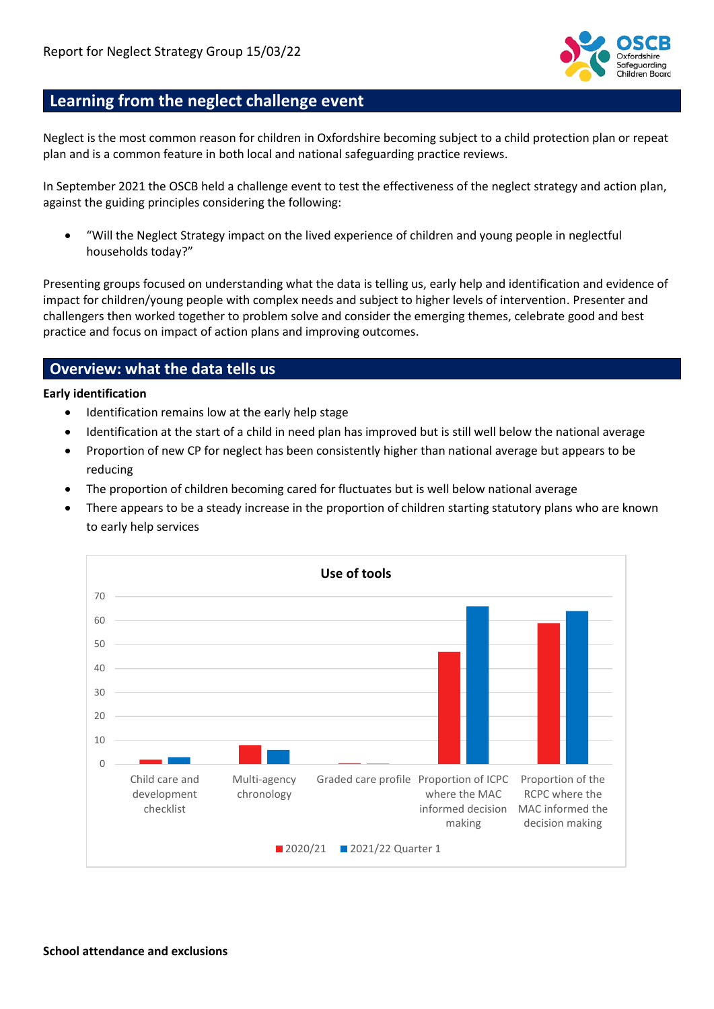

## **Learning from the neglect challenge event**

Neglect is the most common reason for children in Oxfordshire becoming subject to a child protection plan or repeat plan and is a common feature in both local and national safeguarding practice reviews.

In September 2021 the OSCB held a challenge event to test the effectiveness of the neglect strategy and action plan, against the guiding principles considering the following:

• "Will the Neglect Strategy impact on the lived experience of children and young people in neglectful households today?"

Presenting groups focused on understanding what the data is telling us, early help and identification and evidence of impact for children/young people with complex needs and subject to higher levels of intervention. Presenter and challengers then worked together to problem solve and consider the emerging themes, celebrate good and best practice and focus on impact of action plans and improving outcomes.

## **Overview: what the data tells us**

#### **Early identification**

- Identification remains low at the early help stage
- Identification at the start of a child in need plan has improved but is still well below the national average
- Proportion of new CP for neglect has been consistently higher than national average but appears to be reducing
- The proportion of children becoming cared for fluctuates but is well below national average
- There appears to be a steady increase in the proportion of children starting statutory plans who are known to early help services

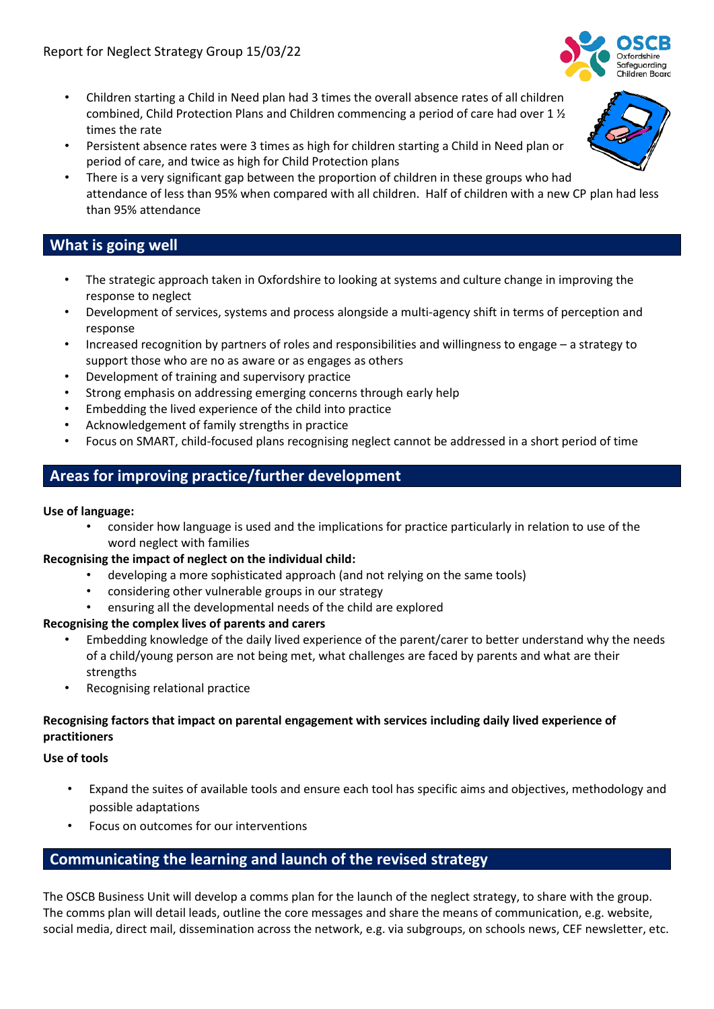

- Persistent absence rates were 3 times as high for children starting a Child in Need plan or period of care, and twice as high for Child Protection plans
- There is a very significant gap between the proportion of children in these groups who had attendance of less than 95% when compared with all children. Half of children with a new CP plan had less than 95% attendance

## **What is going well**

- The strategic approach taken in Oxfordshire to looking at systems and culture change in improving the response to neglect
- Development of services, systems and process alongside a multi-agency shift in terms of perception and response
- Increased recognition by partners of roles and responsibilities and willingness to engage a strategy to support those who are no as aware or as engages as others
- Development of training and supervisory practice
- Strong emphasis on addressing emerging concerns through early help
- Embedding the lived experience of the child into practice
- Acknowledgement of family strengths in practice
- Focus on SMART, child-focused plans recognising neglect cannot be addressed in a short period of time

# **Areas for improving practice/further development**

### **Use of language:**

• consider how language is used and the implications for practice particularly in relation to use of the word neglect with families

### **Recognising the impact of neglect on the individual child:**

- developing a more sophisticated approach (and not relying on the same tools)
- considering other vulnerable groups in our strategy
- ensuring all the developmental needs of the child are explored

### **Recognising the complex lives of parents and carers**

- Embedding knowledge of the daily lived experience of the parent/carer to better understand why the needs of a child/young person are not being met, what challenges are faced by parents and what are their strengths
- Recognising relational practice

### **Recognising factors that impact on parental engagement with services including daily lived experience of practitioners**

#### **Use of tools**

- Expand the suites of available tools and ensure each tool has specific aims and objectives, methodology and possible adaptations
- Focus on outcomes for our interventions

## **Communicating the learning and launch of the revised strategy**

The OSCB Business Unit will develop a comms plan for the launch of the neglect strategy, to share with the group. The comms plan will detail leads, outline the core messages and share the means of communication, e.g. website, social media, direct mail, dissemination across the network, e.g. via subgroups, on schools news, CEF newsletter, etc.